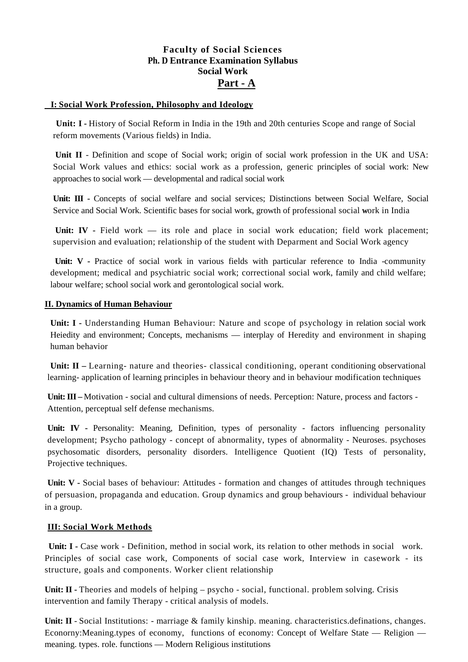## **Faculty of Social Sciences Ph. D Entrance Examination Syllabus Social Work Part - A**

#### **I: Social Work Profession, Philosophy and Ideology**

**Unit: I -** History of Social Reform in India in the 19th and 20th centuries Scope and range of Social reform movements (Various fields) in India.

**Unit II** - Definition and scope of Social work; origin of social work profession in the UK and USA: Social Work values and ethics: social work as a profession, generic principles of social work: New approaches to social work — developmental and radical social work

**Unit: III -** Concepts of social welfare and social services; Distinctions between Social Welfare, Social Service and Social Work. Scientific bases for social work, growth of professional social **w**ork in India

Unit: IV - Field work — its role and place in social work education; field work placement; supervision and evaluation; relationship of the student with Deparment and Social Work agency

Unit: V - Practice of social work in various fields with particular reference to India -community development; medical and psychiatric social work; correctional social work, family and child welfare; labour welfare; school social work and gerontological social work.

#### **II. Dynamics of Human Behaviour**

**Unit: I -** Understanding Human Behaviour: Nature and scope of psychology in relation social work Heiedity and environment; Concepts, mechanisms — interplay of Heredity and environment in shaping human behavior

**Unit: II** – Learning- nature and theories- classical conditioning, operant conditioning observational learning- application of learning principles in behaviour theory and in behaviour modification techniques

**Unit: III –** Motivation - social and cultural dimensions of needs. Perception: Nature, process and factors - Attention, perceptual self defense mechanisms.

Unit: IV - Personality: Meaning, Definition, types of personality - factors influencing personality development; Psycho pathology - concept of abnormality, types of abnormality - Neuroses. psychoses psychosomatic disorders, personality disorders. Intelligence Quotient (IQ) Tests of personality, Projective techniques.

**Unit: V -** Social bases of behaviour: Attitudes - formation and changes of attitudes through techniques of persuasion, propaganda and education. Group dynamics and group behaviours - individual behaviour in a group.

#### **III: Social Work Methods**

 **Unit: I -** Case work - Definition, method in social work, its relation to other methods in social work. Principles of social case work, Components of social case work, Interview in casework - its structure, goals and components. Worker client relationship

Unit: II - Theories and models of helping – psycho - social, functional. problem solving. Crisis intervention and family Therapy - critical analysis of models.

**Unit: II** - Social Institutions: - marriage & family kinship. meaning. characteristics.definations, changes. Econorny:Meaning.types of economy, functions of economy: Concept of Welfare State — Religion meaning. types. role. functions — Modern Religious institutions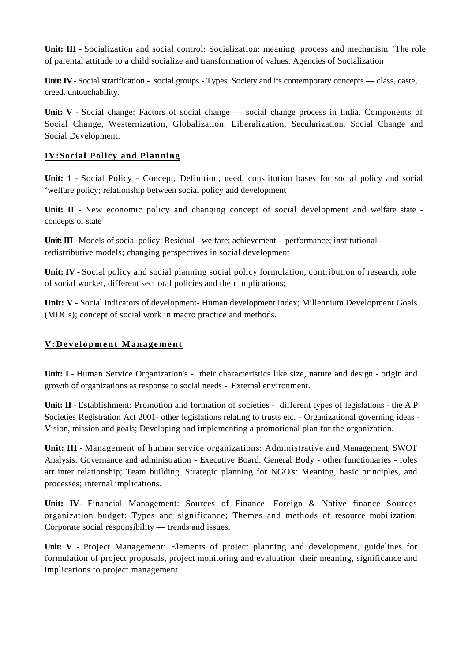**Unit: III** - Socialization and social control: Socialization: meaning. process and mechanism. 'The role of parental attitude to a child socialize and transformation of values. Agencies of Socialization

**Unit: IV** - Social stratification - social groups - Types. Society and its contemporary concepts — class, caste, creed. untouchability*.*

**Unit: V** - Social change: Factors of social change — social change process in India. Components of Social Change, Westernization, Globalization. Liberalization, Secularization. Social Change and Social Development.

## **IV:Social Policy and Planning**

**Unit: 1** - Social Policy - Concept, Definition, need, constitution bases for social policy and social 'welfare policy; relationship between social policy and development

Unit: II - New economic policy and changing concept of social development and welfare state concepts of state

**Unit: III**-Models of social policy: Residual - welfare; achievement - performance; institutional redistributive models; changing perspectives in social development

Unit: IV - Social policy and social planning social policy formulation, contribution of research, role of social worker, different sect oral policies and their implications;

**Unit: V** - Social indicators of development- Human development index; Millennium Development Goals (MDGs); concept of social work in macro practice and methods.

#### **V:Dev elopment Management**

**Unit: I** - Human Service Organization's - their characteristics like size, nature and design - origin and growth of organizations as response to social needs - External environment.

**Unit: II** - Establishment: Promotion and formation of societies - different types of legislations - the A.P. Societies Registration Act 2001- other legislations relating to trusts etc. - Organizational governing ideas - Vision, mission and goals; Developing and implementing a promotional plan for the organization.

**Unit: III** - Management of human service organizations: Administrative and Management, SWOT Analysis. Governance and administration - Executive Board. General Body - other functionaries - roles art inter relationship; Team building. Strategic planning for NGO's: Meaning, basic principles, and processes; internal implications.

**Unit: IV**- Financial Management: Sources of Finance: Foreign & Native finance Sources organization budget: Types and significance; Themes and methods of resource mobilization; Corporate social responsibility — trends and issues.

**Unit: V** - Project Management: Elements of project planning and development, guidelines for formulation of project proposals, project monitoring and evaluation: their meaning, significance and implications to project management.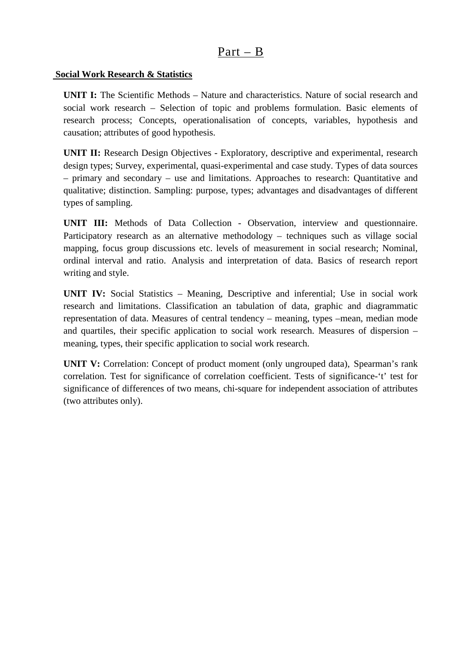# Part – B

## **Social Work Research & Statistics**

**UNIT I:** The Scientific Methods – Nature and characteristics. Nature of social research and social work research – Selection of topic and problems formulation. Basic elements of research process; Concepts, operationalisation of concepts, variables, hypothesis and causation; attributes of good hypothesis.

**UNIT II:** Research Design Objectives - Exploratory, descriptive and experimental, research design types; Survey, experimental, quasi-experimental and case study. Types of data sources – primary and secondary – use and limitations. Approaches to research: Quantitative and qualitative; distinction. Sampling: purpose, types; advantages and disadvantages of different types of sampling.

**UNIT III:** Methods of Data Collection - Observation, interview and questionnaire. Participatory research as an alternative methodology – techniques such as village social mapping, focus group discussions etc. levels of measurement in social research; Nominal, ordinal interval and ratio. Analysis and interpretation of data. Basics of research report writing and style.

**UNIT IV:** Social Statistics – Meaning, Descriptive and inferential; Use in social work research and limitations. Classification an tabulation of data, graphic and diagrammatic representation of data. Measures of central tendency – meaning, types –mean, median mode and quartiles, their specific application to social work research. Measures of dispersion – meaning, types, their specific application to social work research.

**UNIT V:** Correlation: Concept of product moment (only ungrouped data), Spearman's rank correlation. Test for significance of correlation coefficient. Tests of significance-'t' test for significance of differences of two means, chi-square for independent association of attributes (two attributes only).